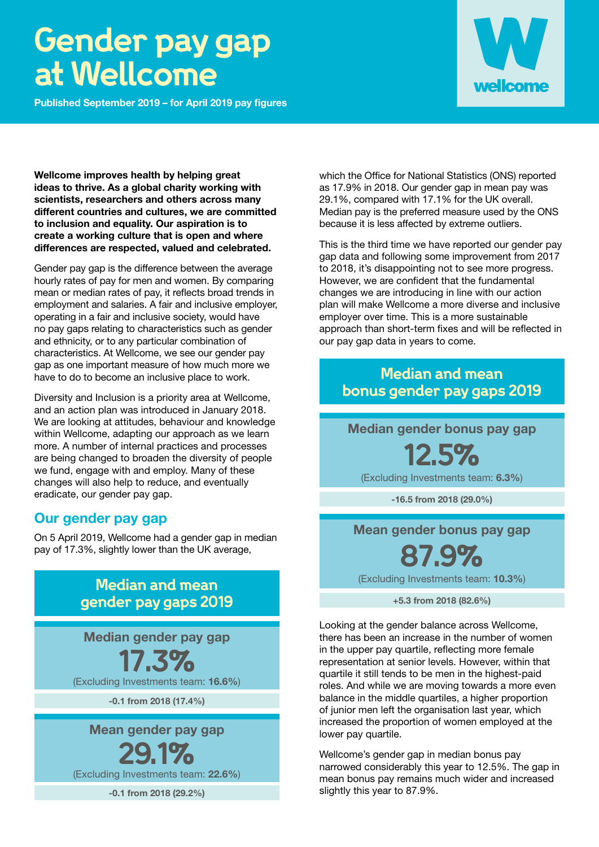# **Gender pay gap at Wellcome**

**Published September 2019 – for April 2019 pay figures**



**Wellcome improves health by helping great ideas to thrive. As a global charity working with scientists, researchers and others across many different countries and cultures, we are committed to inclusion and equality. Our aspiration is to create a working culture that is open and where differences are respected, valued and celebrated.** 

Gender pay gap is the difference between the average hourly rates of pay for men and women. By comparing mean or median rates of pay, it reflects broad trends in employment and salaries. A fair and inclusive employer, operating in a fair and inclusive society, would have no pay gaps relating to characteristics such as gender and ethnicity, or to any particular combination of characteristics. At Wellcome, we see our gender pay gap as one important measure of how much more we have to do to become an inclusive place to work.

Diversity and Inclusion is a priority area at Wellcome, and an action plan was introduced in January 2018. We are looking at attitudes, behaviour and knowledge within Wellcome, adapting our approach as we learn more. A number of internal practices and processes are being changed to broaden the diversity of people we fund, engage with and employ. Many of these changes will also help to reduce, and eventually eradicate, our gender pay gap.

#### **Our gender pay gap**

On 5 April 2019, Wellcome had a gender gap in median pay of 17.3%, slightly lower than the UK average,

### **Median and mean gender pay gaps 2019**

**Median gender pay gap**

**17.3%**

(Excluding Investments team: **16.6%**)

**-0.1 from 2018 (17.4%)**

**Mean gender pay gap**

**29.1%**

(Excluding Investments team: **22.6%**)

**-0.1 from 2018 (29.2%)**

which the Office for National Statistics (ONS) reported as 17.9% in 2018. Our gender gap in mean pay was 29.1%, compared with 17.1% for the UK overall. Median pay is the preferred measure used by the ONS because it is less affected by extreme outliers.

This is the third time we have reported our gender pay gap data and following some improvement from 2017 to 2018, it's disappointing not to see more progress. However, we are confident that the fundamental changes we are introducing in line with our action plan will make Wellcome a more diverse and inclusive employer over time. This is a more sustainable approach than short-term fixes and will be reflected in our pay gap data in years to come.

### **Median and mean bonus gender pay gaps 2019**

**Median gender bonus pay gap**

**12.5%**

(Excluding Investments team: **6.3%**)

**-16.5 from 2018 (29.0%)**

**Mean gender bonus pay gap**

## **87.9%**

(Excluding Investments team: **10.3%**)

**+5.3 from 2018 (82.6%)**

Looking at the gender balance across Wellcome, there has been an increase in the number of women in the upper pay quartile, reflecting more female representation at senior levels. However, within that quartile it still tends to be men in the highest-paid roles. And while we are moving towards a more even balance in the middle quartiles, a higher proportion of junior men left the organisation last year, which increased the proportion of women employed at the lower pay quartile.

Wellcome's gender gap in median bonus pay narrowed considerably this year to 12.5%. The gap in mean bonus pay remains much wider and increased slightly this year to 87.9%.